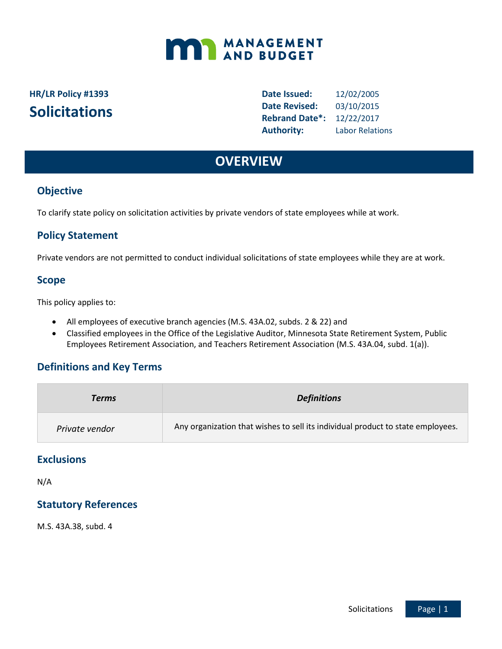# **MANAGEMENT**

## **HR/LR Policy #1393 Solicitations**

**Date Issued:** 12/02/2005 **Date Revised:** 03/10/2015 **Rebrand Date\*:** 12/22/2017 **Authority:** Labor Relations

## **OVERVIEW**

#### **Objective**

To clarify state policy on solicitation activities by private vendors of state employees while at work.

#### **Policy Statement**

Private vendors are not permitted to conduct individual solicitations of state employees while they are at work.

#### **Scope**

This policy applies to:

- All employees of executive branch agencies (M.S. 43A.02, subds. 2 & 22) and
- Classified employees in the Office of the Legislative Auditor, Minnesota State Retirement System, Public Employees Retirement Association, and Teachers Retirement Association (M.S. 43A.04, subd. 1(a)).

#### **Definitions and Key Terms**

| Terms          | <b>Definitions</b>                                                              |
|----------------|---------------------------------------------------------------------------------|
| Private vendor | Any organization that wishes to sell its individual product to state employees. |

#### **Exclusions**

N/A

#### **Statutory References**

M.S. 43A.38, subd. 4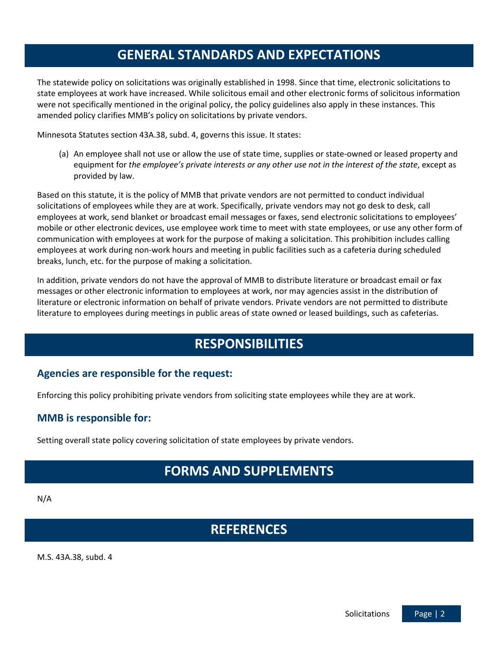## **GENERAL STANDARDS AND EXPECTATIONS**

The statewide policy on solicitations was originally established in 1998. Since that time, electronic solicitations to state employees at work have increased. While solicitous email and other electronic forms of solicitous information were not specifically mentioned in the original policy, the policy guidelines also apply in these instances. This amended policy clarifies MMB's policy on solicitations by private vendors.

Minnesota Statutes section 43A.38, subd. 4, governs this issue. It states:

(a) An employee shall not use or allow the use of state time, supplies or state-owned or leased property and equipment for *the employee's private interests or any other use not in the interest of the state*, except as provided by law.

Based on this statute, it is the policy of MMB that private vendors are not permitted to conduct individual solicitations of employees while they are at work. Specifically, private vendors may not go desk to desk, call employees at work, send blanket or broadcast email messages or faxes, send electronic solicitations to employees' mobile or other electronic devices, use employee work time to meet with state employees, or use any other form of communication with employees at work for the purpose of making a solicitation. This prohibition includes calling employees at work during non-work hours and meeting in public facilities such as a cafeteria during scheduled breaks, lunch, etc. for the purpose of making a solicitation.

In addition, private vendors do not have the approval of MMB to distribute literature or broadcast email or fax messages or other electronic information to employees at work, nor may agencies assist in the distribution of literature or electronic information on behalf of private vendors. Private vendors are not permitted to distribute literature to employees during meetings in public areas of state owned or leased buildings, such as cafeterias.

## **RESPONSIBILITIES**

#### **Agencies are responsible for the request:**

Enforcing this policy prohibiting private vendors from soliciting state employees while they are at work.

#### **MMB is responsible for:**

Setting overall state policy covering solicitation of state employees by private vendors.

## **FORMS AND SUPPLEMENTS**

N/A

### **REFERENCES**

M.S. 43A.38, subd. 4